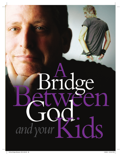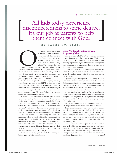## All kids today experience<br>disconnectedness to some degree.<br>It's our job as parents to help them connect with God.

**BY BARRY ST. CLAIR**



ur children live in a generation<br>in which all kids experience<br>some level of disconnected-<br>ness. Families have split apart,<br>leaving many of them lonely<br>and isolated from caring<br>adults. The church has lost<br>much of its influe in which all kids experience some level of disconnectedness. Families have split apart, leaving many of them lonely and isolated from caring adults. The church has lost

much of its influence on them due to shallowness and irrelevance. And the culture is working overtime to separate them from the values of their parents' generation through filthy music lyrics, violent video games, sex- and profanity-laden movies and television programs, Internet pornography, consumerism, and much more.

What can we as parents do? By properly wielding the influence we have in our kids' lives because of our relationships with them, we can become the bridge that connects God to them and them to God. Being a bridge is our major role as parents, and it becomes more important as our kids grow older. We are called to be a relational connector between God and them.

In Psalm 78 God reveals the secrets we need to know to fulfill our calling: "Give ear, O my people, to my law; incline your ears to the words of my mouth. I will open my mouth in a parable; I will utter dark sayings of old, which we have heard and known, and our fathers have told us. We will not hide them from their children, telling to the generation to come the praises of the Lord, and His strength and His wonderful works that He has done.

"For He established a testimony in Jacob, and appointed a law in Israel, which He commanded our fathers, that they should make them known to their children; that the generation to come might know them, the children who would be born, that they may arise and declare them to their children, that they may set their hope in God, and not forget the works of God, but keep His commandments" (vv. 1-7, NKJV).

Based on this passage, what secrets to spanning the bridge must we bring out of hiding?

#### *Secret No. 1: Help kids experience the power of God.*

Experiences drive kids' lives. They prowl around all day looking for or creating the next adventure. Their adrenaline pumps, anticipating the next, the newest and the most satisfying experience. To gain influence with teenagers, we must engage them in experiences that move them out of the mundane routines of life.

In their fast-paced world of video games, the Internet, sports, drama, bands and so on, the church, which represents God, often seems boring. But God is *not* boring! Just the opposite.

Dynamic, supernatural power more closely describes God. The psalmist encourages us to find the secret of God's power and tell it to the next generation so they can experience "the praises of the Lord, and His strength and His wonderful works that He has done" (v. 4).

So where do kids discover that secret?

My son Jonathan and I took a road trip to the Brownsville Revival in Pensacola, Florida, during his senior year in high school. Imagine that—going to church for a highschooler's road trip. What would cause any high school kid to enjoy that?

For starters, people waited in line from 9 a.m. until 7 p.m. to get a seat in the church. Anticipation abounded.

Then when the action began, no one sat in his seat. Several times each night they had to tell those in the balcony not to jump up and down out of concern that it could collapse. We exercised so vigorously during the worship that everyone broke out in a full sweat. People told about how God had radically changed their lives and then got baptized.

Sick people had someone pray for them, and many were healed. The service ended with prayer. Not boring prayer, but teams of people praying over people who had a need, often with a dramatic, on-the-spot demonstration of God's power. Jonathan and I couldn't wait to go to those four-hour church services. *continued*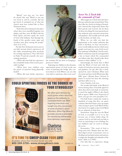"Weird," you may say, "we don't do church that way." Weird or not, my son loved it, and he certainly did not get bored. It reminded me of what the church must have looked like in New Testament times.

wonders were done among the people"<br>
(Acts 4:31; 5:12).<br>
<u>But this Naw Testament porm</u> payt to "And when they had prayed, the place where they were assembled together was shaken; and they were all filled with the Holy Spirit, and they spoke the word of God with boldness. And through the hands of the apostles many signs and (Acts 4:31; 5:12).

Put this New Testament norm next to our kids' normal church experiences, all the while remembering their penchant for exciting experiences. Now refer back to Psalm 78 and ask yourself a few penetrating questions.

» When did your kids last experience the wonderful works of the Lord in powerful worship?

» When have your children seen the power of someone being physically healed?

» When did your family experience

WHEN  $P$  I G S

MOVF I N

How to sweep clear

**IANK HAMMOND** 



the wonders He has done in bringing a person to Christ?

Exposing our children to the dynamic, supernatural power of God reveals one secret of spanning the bridge that connects them to God. Where can you take your kids to experience that secret now?

#### COULD SPIRITUAL FORCES BE THE SOURCE OF YOUR STRUGGLES?

We often give demons too much power when Jesus has given us the authority to command them out. With inspiring interviews and insight into the conversions of some of prison's worst offenders, When Pigs Move In provides practical principles for ministering deliverance from demonic oppression.



# EXAMPLE TO SWEEP CLEAN YOUR LIFE!

Available where fine Christian books are sold. **800-599-5750 • www.strangdirect.com** DF9401CM

#### *Secret No. 2: Teach kids the commands of God.*

All teenagers try to kick down the fence that any authority puts around them. They don't like the closed-in feeling of boundaries. Instead they desperately desire that their parents and everyone else let them do their own thing. Yet wise parents know that authority gives structure, protection, and guidance and actually paves the path to the freedom our kids crave.

When we can offer our kids the opportunity to live under authority that leads to freedom, we have uncovered a secret worth millions, but for which most people won't pay two cents. God's secret? The authority of His Word. "For He established a testimony in Jacob, and appointed a law in Israel, which He commanded our fathers, that they should make them known to their children" (v. 5).

Interestingly, the book that is filled with the Word of God and with the words of God gives structure, protection and guidance, yet day after day is rarely opened by most Christians. What most of us pick up from God's Word tastes like ABC gum—Already Been Chewed. A pastor or teacher has done the chewing, and then offers it to us.

Gross. Tasteless. Left over.

No wonder kids think of the Word of God as boring. Since it has little appeal to them, they don't read, study or memorize it, much less apply it. When I ask church kids to quote a Bible verse, 90 percent of them can't get one verse past John 3:16.

Our kids' brains contain the words to hundreds of songs that they can quote verbatim. But their brains come up empty when trying to quote God's Word. If they don't know it or apply it, then God's Word has no authority in their lives.

Somewhere along the way the Word of God, as accessible as it is to us, has become one of those *hidden things*. To connect God to our kids and our kids to God, we must bring it out of hiding. For our children's sake we need to divulge the secret.

Remember: "The word of God is living and active. Sharper than any doubled-edged sword, it penetrates even to dividing soul and spirit, joints and marrow; it judges the thoughts and attitudes of the heart" (Heb. 4:12, NIV).

Our kids like to experience things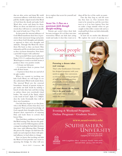that are alive, active and sharp. We wield enormous influence with them when we pull the double-edged sword of the Word of God from the sheath and make God's Word alive, active and sharp for them. When we show our kids how to use the sword, they will learn to correctly handle the word of truth (see 2 Tim. 2:15).

At that point the internal influence of God's Word transforms their lives. It penetrates their innermost beings and points out to them God's thoughts and attitudes as opposed to their own thoughts and attitudes*.* Through His Word He shows them His heart so they can know Him intimately, and He reveals their own hearts so they can know themselves. Now that's a powerful weapon with authority!

How powerful? How much authority? Psalm 119:9-11 confirms that when God's Word begins to work in our kids' hearts, it produces three very positive results:

» It keeps our kids pure.

» It motivates them to pursue God with all their hearts.

» It protects them from sin (and all of its ugly results).

When we commit to teaching our kids God's Word, we will begin to see the authoritative Word work inside them. The internal Word sets the external boundaries. Instead of parents trying to get inside our kids' heads by making a bunch of rules they hate and then trying to enforce them over everybody's dead bodies, "the sword of the Spirit, which is the word of God" (Eph. 6:17, NKJV) does the work. Eventually they will set their own boundaries.

Our kids then begin to see that Jesus, who is the Word, is better than they ever imagined. Their personal knowledge of God expands their thoughts about Him, deepens their experiences of enjoying Him and leads them to actions that honor Him.

They find their confidence in God and His Word soaring. They discover the guidance they need for following Jesus and the courage for making the hard daily decisions that come with following Him. Through this process He changes our kids from the inside out and empowers them with spiritual influence to lead others to change.

Now we know that teaching our kids the Word of God provides one secret to spanning the bridge. So what will you

do to explore that secret for yourself and for them?

#### *Secret No. 3: Pass on a passionate faith through disciple-making.*

Parents get scared when their kids become teenagers. It's as if they turn into werewolves. When our kids start acting weird and make it clear they want us to drop off the face of the earth, we panic.

One day they hug us, and the next day they hate us. One moment they want to be around us, and the next they treat us as if we have leprosy. True, but we make a huge mistake when we get caught on this roller-coaster ride and as a result pull back from our kids relationally and spiritually.

So how do we resolve this dilemma? We explore the secret of passing on a

### Good people at work.

#### **Pursuing a dream takes real courage.**

That's why Southeastern University has designed programs with your needs in mind. Our convenient, accelerated, welcoming programs of study are *personally enriching, professionally relevant, and grounded in the Christian worldview.*

**Let your dream do its work. Let it do** *good* **work–** with people whose dreams are much like yours.

**Evening & Weekend Programs Online Programs** ■ **Graduate Studies**

**www.seuniversity.edu**

SOUTHEASTERN UNIVERSITY

> Gathered in the Spirit. Equipping for every good work.